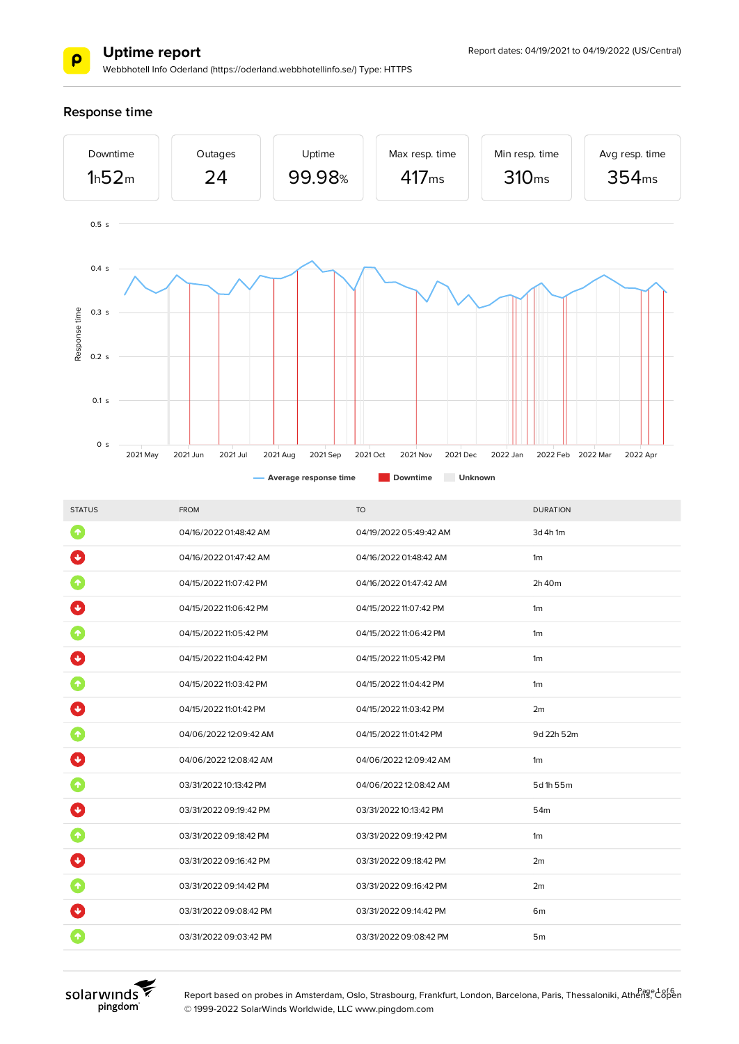

Webbhotell Info Oderland (https://oderland.webbhotellinfo.se/) Type: HTTPS

**Response time**



| <b>STATUS</b>        | <b>FROM</b>            | <b>TO</b>              | <b>DURATION</b> |
|----------------------|------------------------|------------------------|-----------------|
| $\blacklozenge$      | 04/16/2022 01:48:42 AM | 04/19/2022 05:49:42 AM | 3d 4h 1m        |
| $\ddot{\phantom{0}}$ | 04/16/2022 01:47:42 AM | 04/16/2022 01:48:42 AM | 1 <sub>m</sub>  |
| ↑                    | 04/15/2022 11:07:42 PM | 04/16/2022 01:47:42 AM | 2h 40m          |
|                      | 04/15/2022 11:06:42 PM | 04/15/2022 11:07:42 PM | 1 <sub>m</sub>  |
|                      | 04/15/2022 11:05:42 PM | 04/15/2022 11:06:42 PM | 1 <sub>m</sub>  |
| $\ddot{\mathbf{v}}$  | 04/15/2022 11:04:42 PM | 04/15/2022 11:05:42 PM | 1 <sub>m</sub>  |
| 个                    | 04/15/2022 11:03:42 PM | 04/15/2022 11:04:42 PM | 1 <sub>m</sub>  |
| $\ddot{\mathbf{v}}$  | 04/15/2022 11:01:42 PM | 04/15/2022 11:03:42 PM | 2m              |
| $\blacklozenge$      | 04/06/2022 12:09:42 AM | 04/15/2022 11:01:42 PM | 9d 22h 52m      |
| $\ddot{\textbf{v}}$  | 04/06/2022 12:08:42 AM | 04/06/2022 12:09:42 AM | 1 <sub>m</sub>  |
| 个                    | 03/31/2022 10:13:42 PM | 04/06/2022 12:08:42 AM | 5d 1h 55m       |
|                      | 03/31/2022 09:19:42 PM | 03/31/2022 10:13:42 PM | 54m             |
| ↑                    | 03/31/2022 09:18:42 PM | 03/31/2022 09:19:42 PM | 1 <sub>m</sub>  |
| $\ddot{\bullet}$     | 03/31/2022 09:16:42 PM | 03/31/2022 09:18:42 PM | 2m              |
|                      | 03/31/2022 09:14:42 PM | 03/31/2022 09:16:42 PM | 2m              |
|                      | 03/31/2022 09:08:42 PM | 03/31/2022 09:14:42 PM | 6 <sub>m</sub>  |
|                      | 03/31/2022 09:03:42 PM | 03/31/2022 09:08:42 PM | 5 <sub>m</sub>  |
|                      |                        |                        |                 |



Report based on probes in Amsterdam, Oslo, Strasbourg, Frankfurt, London, Barcelona, Paris, Thessaloniki, Athens, Copen © 1999-2022 SolarWinds Worldwide, LLC www.pingdom.com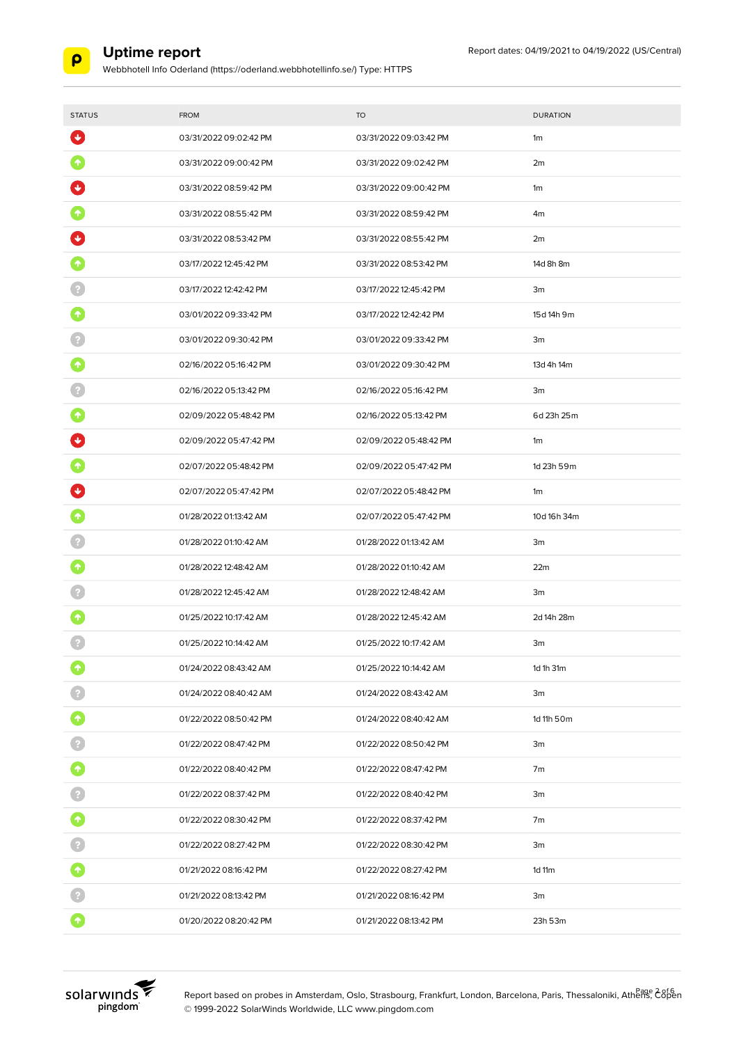

Webbhotell Info Oderland (https://oderland.webbhotellinfo.se/) Type: HTTPS

| <b>STATUS</b>       | <b>FROM</b>            | <b>TO</b>              | <b>DURATION</b> |
|---------------------|------------------------|------------------------|-----------------|
| $\ddot{\mathbf{v}}$ | 03/31/2022 09:02:42 PM | 03/31/2022 09:03:42 PM | 1m              |
|                     | 03/31/2022 09:00:42 PM | 03/31/2022 09:02:42 PM | 2m              |
|                     | 03/31/2022 08:59:42 PM | 03/31/2022 09:00:42 PM | 1m              |
| 个                   | 03/31/2022 08:55:42 PM | 03/31/2022 08:59:42 PM | 4m              |
|                     | 03/31/2022 08:53:42 PM | 03/31/2022 08:55:42 PM | 2m              |
|                     | 03/17/2022 12:45:42 PM | 03/31/2022 08:53:42 PM | 14d 8h 8m       |
|                     | 03/17/2022 12:42:42 PM | 03/17/2022 12:45:42 PM | 3m              |
| 个                   | 03/01/2022 09:33:42 PM | 03/17/2022 12:42:42 PM | 15d 14h 9m      |
|                     | 03/01/2022 09:30:42 PM | 03/01/2022 09:33:42 PM | 3m              |
|                     | 02/16/2022 05:16:42 PM | 03/01/2022 09:30:42 PM | 13d 4h 14m      |
|                     | 02/16/2022 05:13:42 PM | 02/16/2022 05:16:42 PM | 3m              |
|                     | 02/09/2022 05:48:42 PM | 02/16/2022 05:13:42 PM | 6d 23h 25m      |
|                     | 02/09/2022 05:47:42 PM | 02/09/2022 05:48:42 PM | 1m              |
|                     | 02/07/2022 05:48:42 PM | 02/09/2022 05:47:42 PM | 1d 23h 59m      |
|                     | 02/07/2022 05:47:42 PM | 02/07/2022 05:48:42 PM | 1m              |
|                     | 01/28/2022 01:13:42 AM | 02/07/2022 05:47:42 PM | 10d 16h 34m     |
|                     | 01/28/2022 01:10:42 AM | 01/28/2022 01:13:42 AM | 3m              |
|                     | 01/28/2022 12:48:42 AM | 01/28/2022 01:10:42 AM | 22m             |
|                     | 01/28/2022 12:45:42 AM | 01/28/2022 12:48:42 AM | 3m              |
|                     | 01/25/2022 10:17:42 AM | 01/28/2022 12:45:42 AM | 2d 14h 28m      |
|                     | 01/25/2022 10:14:42 AM | 01/25/2022 10:17:42 AM | 3m              |
| 个                   | 01/24/2022 08:43:42 AM | 01/25/2022 10:14:42 AM | 1d 1h 31m       |
|                     | 01/24/2022 08:40:42 AM | 01/24/2022 08:43:42 AM | 3m              |
| 6                   | 01/22/2022 08:50:42 PM | 01/24/2022 08:40:42 AM | 1d 11h 50m      |
|                     | 01/22/2022 08:47:42 PM | 01/22/2022 08:50:42 PM | 3m              |
| $\blacklozenge$     | 01/22/2022 08:40:42 PM | 01/22/2022 08:47:42 PM | 7m              |
|                     | 01/22/2022 08:37:42 PM | 01/22/2022 08:40:42 PM | 3m              |
| $\blacklozenge$     | 01/22/2022 08:30:42 PM | 01/22/2022 08:37:42 PM | 7m              |
|                     | 01/22/2022 08:27:42 PM | 01/22/2022 08:30:42 PM | 3m              |
| $\blacklozenge$     | 01/21/2022 08:16:42 PM | 01/22/2022 08:27:42 PM | 1d 11m          |
|                     | 01/21/2022 08:13:42 PM | 01/21/2022 08:16:42 PM | 3m              |
| ٠                   | 01/20/2022 08:20:42 PM | 01/21/2022 08:13:42 PM | 23h 53m         |



Report based on probes in Amsterdam, Oslo, Strasbourg, Frankfurt, London, Barcelona, Paris, Thessaloniki, Athens, C8pen © 1999-2022 SolarWinds Worldwide, LLC www.pingdom.com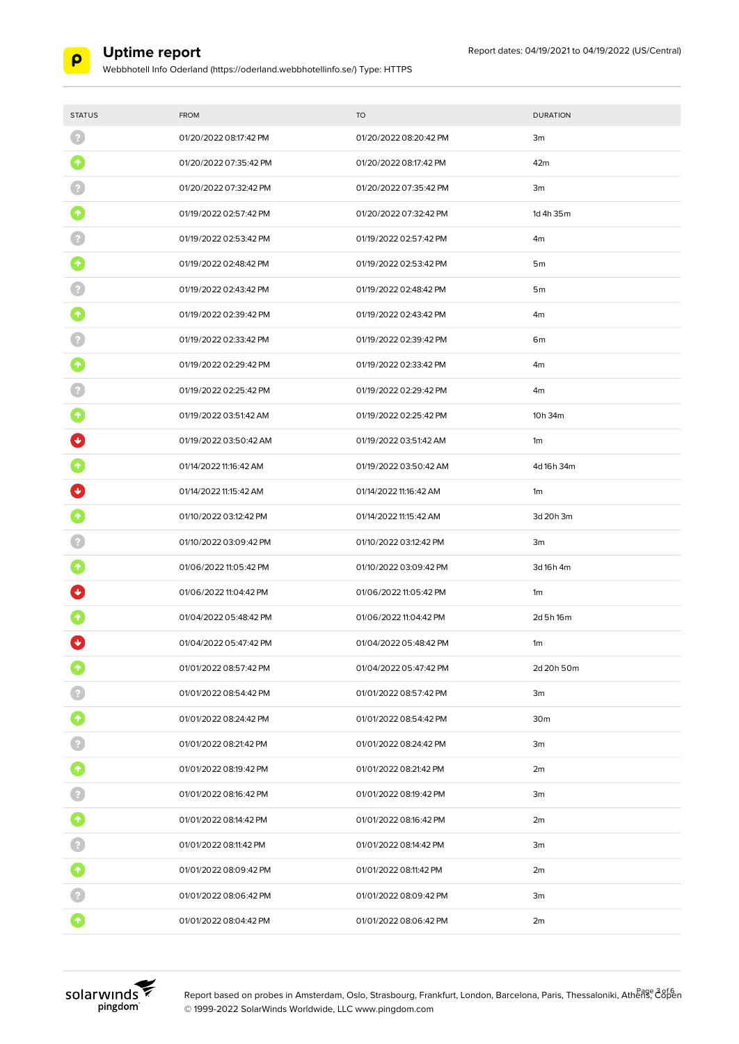

| <b>STATUS</b>           | <b>FROM</b>            | <b>TO</b>              | <b>DURATION</b> |
|-------------------------|------------------------|------------------------|-----------------|
| -2                      | 01/20/2022 08:17:42 PM | 01/20/2022 08:20:42 PM | 3m              |
|                         |                        |                        |                 |
| $\boldsymbol{\Uparrow}$ | 01/20/2022 07:35:42 PM | 01/20/2022 08:17:42 PM | 42m             |
|                         | 01/20/2022 07:32:42 PM | 01/20/2022 07:35:42 PM | 3m              |
| ↑                       | 01/19/2022 02:57:42 PM | 01/20/2022 07:32:42 PM | 1d 4h 35m       |
|                         | 01/19/2022 02:53:42 PM | 01/19/2022 02:57:42 PM | 4m              |
|                         | 01/19/2022 02:48:42 PM | 01/19/2022 02:53:42 PM | 5 <sub>m</sub>  |
|                         | 01/19/2022 02:43:42 PM | 01/19/2022 02:48:42 PM | 5 <sub>m</sub>  |
| 个                       | 01/19/2022 02:39:42 PM | 01/19/2022 02:43:42 PM | 4m              |
|                         | 01/19/2022 02:33:42 PM | 01/19/2022 02:39:42 PM | 6m              |
| $\hat{\mathbf{T}}$      | 01/19/2022 02:29:42 PM | 01/19/2022 02:33:42 PM | 4m              |
|                         | 01/19/2022 02:25:42 PM | 01/19/2022 02:29:42 PM | 4m              |
|                         | 01/19/2022 03:51:42 AM | 01/19/2022 02:25:42 PM | 10h 34m         |
|                         | 01/19/2022 03:50:42 AM | 01/19/2022 03:51:42 AM | 1m              |
|                         | 01/14/2022 11:16:42 AM | 01/19/2022 03:50:42 AM | 4d 16h 34m      |
|                         | 01/14/2022 11:15:42 AM | 01/14/2022 11:16:42 AM | 1m              |
|                         | 01/10/2022 03:12:42 PM | 01/14/2022 11:15:42 AM | 3d 20h 3m       |
|                         | 01/10/2022 03:09:42 PM | 01/10/2022 03:12:42 PM | 3m              |
| ↑                       | 01/06/2022 11:05:42 PM | 01/10/2022 03:09:42 PM | 3d 16h 4m       |
|                         | 01/06/2022 11:04:42 PM | 01/06/2022 11:05:42 PM | 1m              |
|                         | 01/04/2022 05:48:42 PM | 01/06/2022 11:04:42 PM | 2d 5h 16m       |
| ◆                       | 01/04/2022 05:47:42 PM | 01/04/2022 05:48:42 PM | 1m              |
|                         | 01/01/2022 08:57:42 PM | 01/04/2022 05:47:42 PM | 2d 20h 50m      |
|                         | 01/01/2022 08:54:42 PM | 01/01/2022 08:57:42 PM | 3m              |
| 0                       | 01/01/2022 08:24:42 PM | 01/01/2022 08:54:42 PM | 30 <sub>m</sub> |
|                         | 01/01/2022 08:21:42 PM | 01/01/2022 08:24:42 PM | 3m              |
| $\bullet$               | 01/01/2022 08:19:42 PM | 01/01/2022 08:21:42 PM | 2m              |
|                         | 01/01/2022 08:16:42 PM | 01/01/2022 08:19:42 PM | 3m              |
| $\bullet$               | 01/01/2022 08:14:42 PM | 01/01/2022 08:16:42 PM | 2m              |
|                         | 01/01/2022 08:11:42 PM | 01/01/2022 08:14:42 PM | 3m              |
| $\bullet$               | 01/01/2022 08:09:42 PM | 01/01/2022 08:11:42 PM | 2m              |
|                         | 01/01/2022 08:06:42 PM | 01/01/2022 08:09:42 PM | 3m              |
| $\blacklozenge$         | 01/01/2022 08:04:42 PM | 01/01/2022 08:06:42 PM | 2m              |

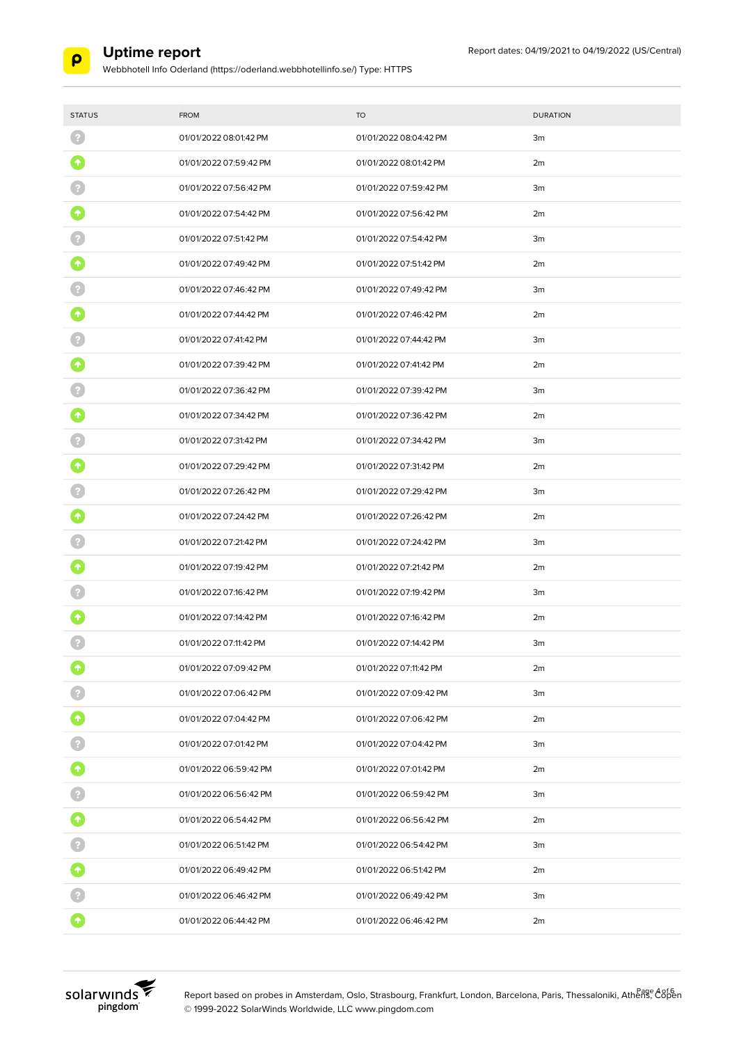

| <b>STATUS</b>   | <b>FROM</b>            | <b>TO</b>              | <b>DURATION</b> |
|-----------------|------------------------|------------------------|-----------------|
| -2              | 01/01/2022 08:01:42 PM | 01/01/2022 08:04:42 PM | 3m              |
|                 | 01/01/2022 07:59:42 PM | 01/01/2022 08:01:42 PM | 2m              |
|                 | 01/01/2022 07:56:42 PM | 01/01/2022 07:59:42 PM | 3m              |
|                 | 01/01/2022 07:54:42 PM | 01/01/2022 07:56:42 PM | 2m              |
|                 | 01/01/2022 07:51:42 PM | 01/01/2022 07:54:42 PM | 3m              |
|                 | 01/01/2022 07:49:42 PM | 01/01/2022 07:51:42 PM | 2m              |
|                 | 01/01/2022 07:46:42 PM | 01/01/2022 07:49:42 PM | 3m              |
|                 | 01/01/2022 07:44:42 PM | 01/01/2022 07:46:42 PM | 2m              |
|                 | 01/01/2022 07:41:42 PM | 01/01/2022 07:44:42 PM | 3m              |
|                 | 01/01/2022 07:39:42 PM | 01/01/2022 07:41:42 PM | 2m              |
|                 | 01/01/2022 07:36:42 PM | 01/01/2022 07:39:42 PM | 3m              |
|                 | 01/01/2022 07:34:42 PM | 01/01/2022 07:36:42 PM | 2m              |
|                 | 01/01/2022 07:31:42 PM | 01/01/2022 07:34:42 PM | 3m              |
|                 | 01/01/2022 07:29:42 PM | 01/01/2022 07:31:42 PM | 2m              |
|                 | 01/01/2022 07:26:42 PM | 01/01/2022 07:29:42 PM | 3m              |
|                 | 01/01/2022 07:24:42 PM | 01/01/2022 07:26:42 PM | 2m              |
|                 | 01/01/2022 07:21:42 PM | 01/01/2022 07:24:42 PM | 3m              |
|                 | 01/01/2022 07:19:42 PM | 01/01/2022 07:21:42 PM | 2m              |
|                 | 01/01/2022 07:16:42 PM | 01/01/2022 07:19:42 PM | 3m              |
|                 | 01/01/2022 07:14:42 PM | 01/01/2022 07:16:42 PM | 2m              |
|                 | 01/01/2022 07:11:42 PM | 01/01/2022 07:14:42 PM | 3m              |
|                 | 01/01/2022 07:09:42 PM | 01/01/2022 07:11:42 PM | 2m              |
|                 | 01/01/2022 07:06:42 PM | 01/01/2022 07:09:42 PM | 3m              |
| $\bullet$       | 01/01/2022 07:04:42 PM | 01/01/2022 07:06:42 PM | 2m              |
|                 | 01/01/2022 07:01:42 PM | 01/01/2022 07:04:42 PM | 3m              |
| $\bullet$       | 01/01/2022 06:59:42 PM | 01/01/2022 07:01:42 PM | 2m              |
|                 | 01/01/2022 06:56:42 PM | 01/01/2022 06:59:42 PM | 3m              |
| $\blacklozenge$ | 01/01/2022 06:54:42 PM | 01/01/2022 06:56:42 PM | 2m              |
|                 | 01/01/2022 06:51:42 PM | 01/01/2022 06:54:42 PM | 3m              |
| $\bullet$       | 01/01/2022 06:49:42 PM | 01/01/2022 06:51:42 PM | 2m              |
|                 | 01/01/2022 06:46:42 PM | 01/01/2022 06:49:42 PM | 3m              |
| $\blacklozenge$ | 01/01/2022 06:44:42 PM | 01/01/2022 06:46:42 PM | 2m              |



Report based on probes in Amsterdam, Oslo, Strasbourg, Frankfurt, London, Barcelona, Paris, Thessaloniki, Athenge A8f6en © 1999-2022 SolarWinds Worldwide, LLC www.pingdom.com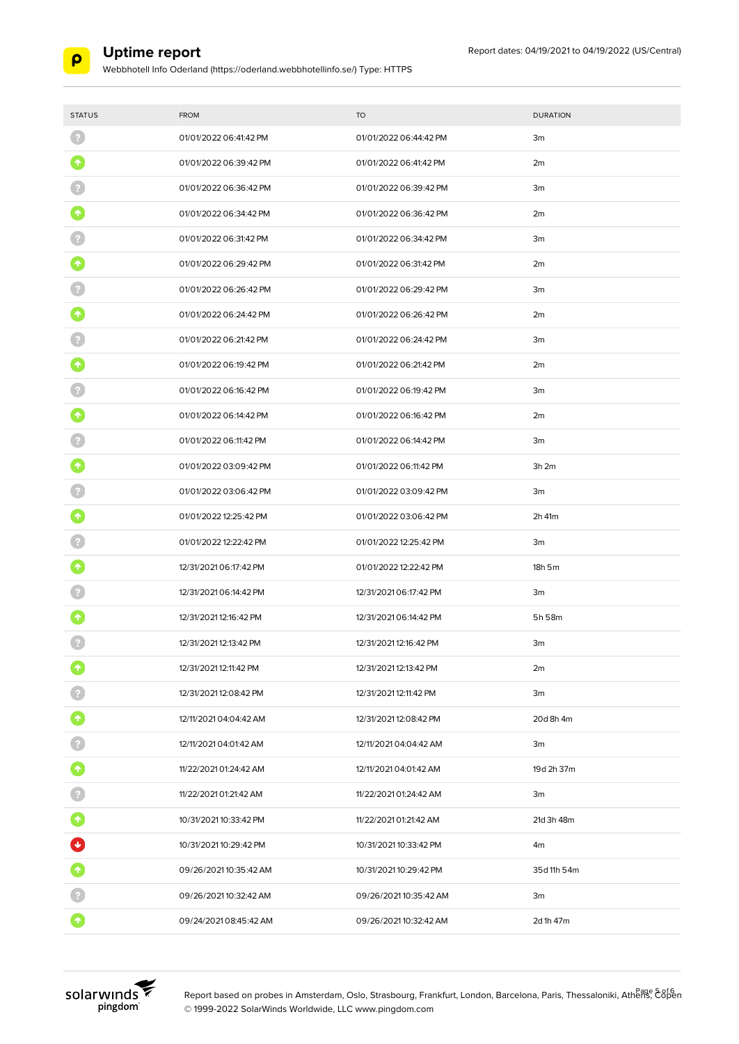

Webbhotell Info Oderland (https://oderland.webbhotellinfo.se/) Type: HTTPS

| <b>STATUS</b>   | <b>FROM</b>            | <b>TO</b>              | <b>DURATION</b> |
|-----------------|------------------------|------------------------|-----------------|
|                 | 01/01/2022 06:41:42 PM | 01/01/2022 06:44:42 PM | 3m              |
| $\blacklozenge$ | 01/01/2022 06:39:42 PM | 01/01/2022 06:41:42 PM | 2m              |
|                 | 01/01/2022 06:36:42 PM | 01/01/2022 06:39:42 PM | 3m              |
|                 | 01/01/2022 06:34:42 PM | 01/01/2022 06:36:42 PM | 2m              |
|                 | 01/01/2022 06:31:42 PM | 01/01/2022 06:34:42 PM | 3m              |
|                 | 01/01/2022 06:29:42 PM | 01/01/2022 06:31:42 PM | 2m              |
|                 | 01/01/2022 06:26:42 PM | 01/01/2022 06:29:42 PM | 3m              |
|                 | 01/01/2022 06:24:42 PM | 01/01/2022 06:26:42 PM | 2m              |
|                 | 01/01/2022 06:21:42 PM | 01/01/2022 06:24:42 PM | 3m              |
|                 | 01/01/2022 06:19:42 PM | 01/01/2022 06:21:42 PM | 2m              |
|                 | 01/01/2022 06:16:42 PM | 01/01/2022 06:19:42 PM | 3m              |
| $\uparrow$      | 01/01/2022 06:14:42 PM | 01/01/2022 06:16:42 PM | 2m              |
|                 | 01/01/2022 06:11:42 PM | 01/01/2022 06:14:42 PM | 3m              |
|                 | 01/01/2022 03:09:42 PM | 01/01/2022 06:11:42 PM | 3h2m            |
|                 | 01/01/2022 03:06:42 PM | 01/01/2022 03:09:42 PM | 3 <sub>m</sub>  |
|                 | 01/01/2022 12:25:42 PM | 01/01/2022 03:06:42 PM | 2h 41m          |
|                 | 01/01/2022 12:22:42 PM | 01/01/2022 12:25:42 PM | 3m              |
|                 | 12/31/2021 06:17:42 PM | 01/01/2022 12:22:42 PM | 18h 5m          |
|                 | 12/31/2021 06:14:42 PM | 12/31/2021 06:17:42 PM | 3m              |
|                 | 12/31/2021 12:16:42 PM | 12/31/2021 06:14:42 PM | 5h 58m          |
|                 | 12/31/2021 12:13:42 PM | 12/31/2021 12:16:42 PM | 3m              |
|                 | 12/31/2021 12:11:42 PM | 12/31/2021 12:13:42 PM | 2m              |
|                 | 12/31/2021 12:08:42 PM | 12/31/2021 12:11:42 PM | 3m              |
| 0               | 12/11/2021 04:04:42 AM | 12/31/2021 12:08:42 PM | 20d 8h 4m       |
|                 | 12/11/2021 04:01:42 AM | 12/11/2021 04:04:42 AM | 3m              |
| 0               | 11/22/2021 01:24:42 AM | 12/11/2021 04:01:42 AM | 19d 2h 37m      |
| $\overline{P}$  | 11/22/2021 01:21:42 AM | 11/22/2021 01:24:42 AM | 3m              |
| 0               | 10/31/2021 10:33:42 PM | 11/22/2021 01:21:42 AM | 21d 3h 48m      |
| $\bullet$       | 10/31/2021 10:29:42 PM | 10/31/2021 10:33:42 PM | 4m              |
| $\bullet$       | 09/26/202110:35:42 AM  | 10/31/2021 10:29:42 PM | 35d 11h 54m     |
|                 | 09/26/202110:32:42 AM  | 09/26/202110:35:42 AM  | 3m              |
| $\bullet$       | 09/24/202108:45:42 AM  | 09/26/202110:32:42 AM  | 2d 1h 47m       |



Report based on probes in Amsterdam, Oslo, Strasbourg, Frankfurt, London, Barcelona, Paris, Thessaloniki, Athens, E8pen © 1999-2022 SolarWinds Worldwide, LLC www.pingdom.com